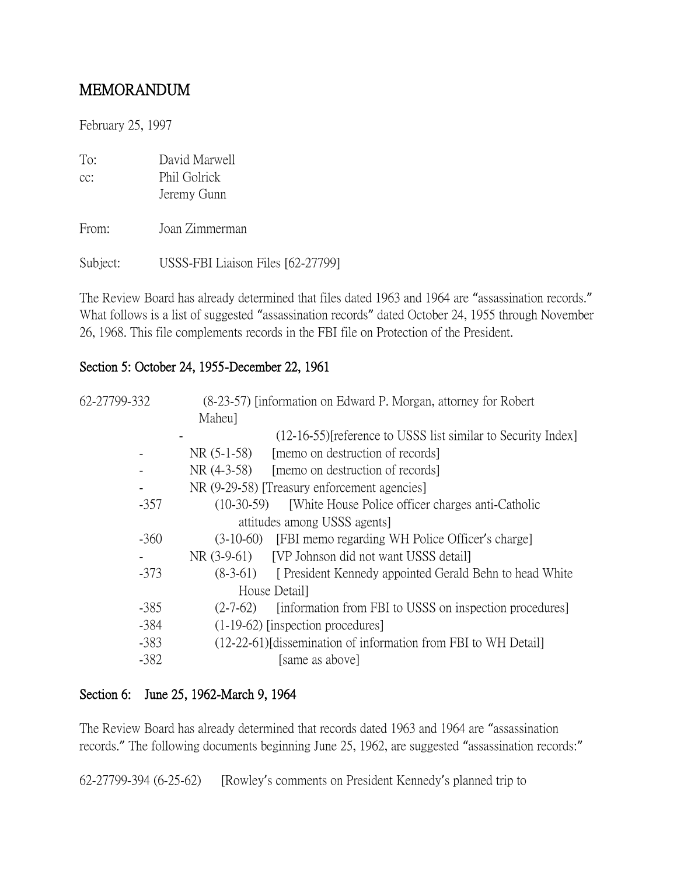## MEMORANDUM

February 25, 1997

| To: | David Marwell |
|-----|---------------|
| cc: | Phil Golrick  |
|     | Jeremy Gunn   |

From: Joan Zimmerman

Subject: USSS-FBI Liaison Files [62-27799]

The Review Board has already determined that files dated 1963 and 1964 are "assassination records." What follows is a list of suggested "assassination records" dated October 24, 1955 through November 26, 1968. This file complements records in the FBI file on Protection of the President.

### Section 5: October 24, 1955-December 22, 1961

| 62-27799-332 | (8-23-57) [information on Edward P. Morgan, attorney for Robert       |
|--------------|-----------------------------------------------------------------------|
|              | Maheu]                                                                |
|              | (12-16-55) [reference to USSS list similar to Security Index]         |
|              | [memo on destruction of records]<br>$NR(5-1-58)$                      |
|              | NR (4-3-58)<br>[memo on destruction of records]                       |
|              | NR (9-29-58) [Treasury enforcement agencies]                          |
| $-357$       | $(10-30-59)$<br>[White House Police officer charges anti-Catholic     |
|              | attitudes among USSS agents                                           |
| $-360$       | (3-10-60) [FBI memo regarding WH Police Officer's charge]             |
|              | NR (3-9-61) [VP Johnson did not want USSS detail]                     |
| $-373$       | (8-3-61) [ President Kennedy appointed Gerald Behn to head White      |
|              | House Detail]                                                         |
| $-385$       | [information from FBI to USSS on inspection procedures]<br>$(2-7-62)$ |
| $-384$       | $(1-19-62)$ [inspection procedures]                                   |
| $-383$       | (12-22-61) [dissemination of information from FBI to WH Detail]       |
| $-382$       | [same as above]                                                       |

## Section 6: June 25, 1962-March 9, 1964

The Review Board has already determined that records dated 1963 and 1964 are "assassination records." The following documents beginning June 25, 1962, are suggested "assassination records:"

62-27799-394 (6-25-62) [Rowley's comments on President Kennedy's planned trip to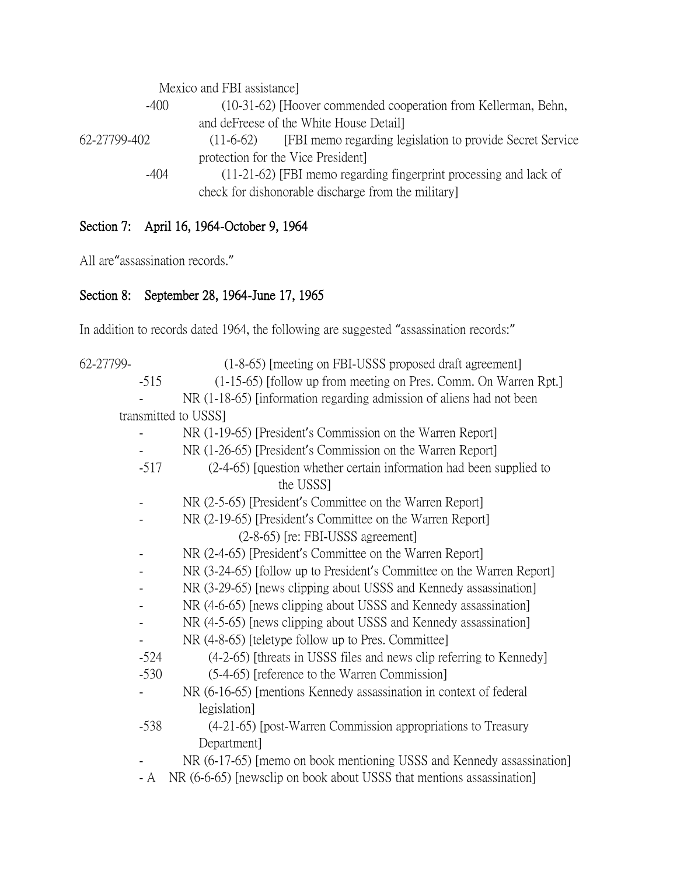|              | Mexico and FBI assistance                                                 |
|--------------|---------------------------------------------------------------------------|
| -400         | (10-31-62) [Hoover commended cooperation from Kellerman, Behn,            |
|              | and deFreese of the White House Detail                                    |
| 62-27799-402 | [FBI memo regarding legislation to provide Secret Service]<br>$(11-6-62)$ |
|              | protection for the Vice President.                                        |
| $-404$       | (11-21-62) [FBI memo regarding fingerprint processing and lack of         |
|              | check for dishonorable discharge from the military                        |

## Section 7: April 16, 1964-October 9, 1964

All are"assassination records."

# Section 8: September 28, 1964-June 17, 1965

In addition to records dated 1964, the following are suggested "assassination records:"

| 62-27799- | (1-8-65) [meeting on FBI-USSS proposed draft agreement]                |
|-----------|------------------------------------------------------------------------|
| $-515$    | (1-15-65) [follow up from meeting on Pres. Comm. On Warren Rpt.]       |
|           | NR (1-18-65) [information regarding admission of aliens had not been   |
|           | transmitted to USSS]                                                   |
|           | NR (1-19-65) [President's Commission on the Warren Report]             |
|           | NR (1-26-65) [President's Commission on the Warren Report]             |
| $-517$    | (2-4-65) [question whether certain information had been supplied to    |
|           | the USSS]                                                              |
|           | NR (2-5-65) [President's Committee on the Warren Report]               |
|           | NR (2-19-65) [President's Committee on the Warren Report]              |
|           | $(2-8-65)$ [re: FBI-USSS agreement]                                    |
|           | NR (2-4-65) [President's Committee on the Warren Report]               |
|           | NR (3-24-65) [follow up to President's Committee on the Warren Report] |
|           | NR (3-29-65) [news clipping about USSS and Kennedy assassination]      |
|           | NR (4-6-65) [news clipping about USSS and Kennedy assassination]       |
|           | NR (4-5-65) [news clipping about USSS and Kennedy assassination]       |
|           | NR (4-8-65) [teletype follow up to Pres. Committee]                    |
| $-524$    | (4-2-65) [threats in USSS files and news clip referring to Kennedy]    |
| $-530$    | (5-4-65) [reference to the Warren Commission]                          |
|           | NR (6-16-65) [mentions Kennedy assassination in context of federal     |
|           | legislation]                                                           |
| $-538$    | (4-21-65) [post-Warren Commission appropriations to Treasury           |
|           | Department                                                             |
|           | NR (6-17-65) [memo on book mentioning USSS and Kennedy assassination]  |
| - A       | NR (6-6-65) [newsclip on book about USSS that mentions assassination]  |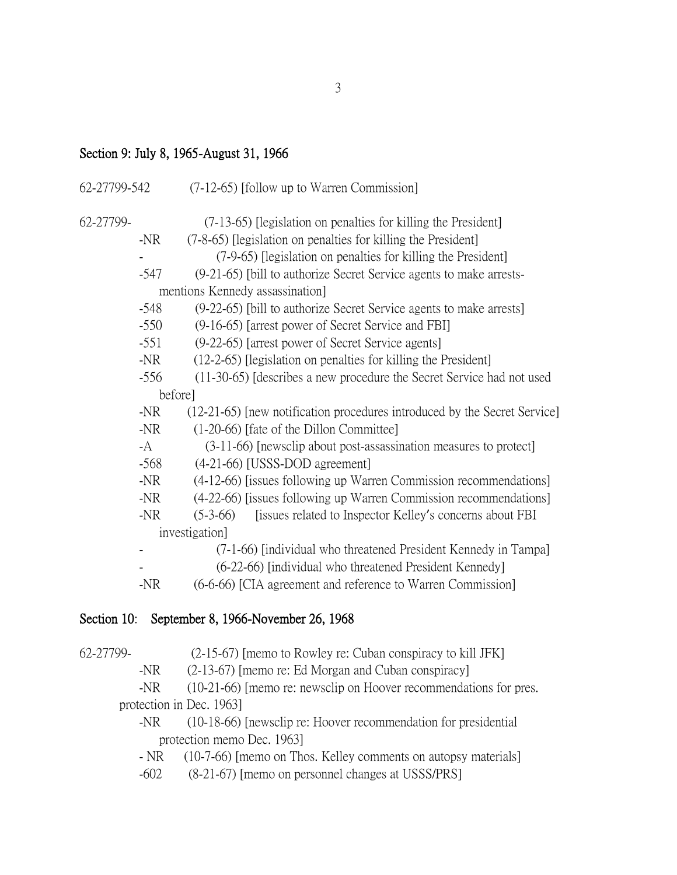### Section 9: July 8, 1965-August 31, 1966

| (7-12-65) [follow up to Warren Commission]                                |
|---------------------------------------------------------------------------|
| (7-13-65) [legislation on penalties for killing the President]            |
| (7-8-65) [legislation on penalties for killing the President]             |
| (7-9-65) [legislation on penalties for killing the President]             |
| (9-21-65) [bill to authorize Secret Service agents to make arrests-       |
| mentions Kennedy assassination                                            |
| (9-22-65) [bill to authorize Secret Service agents to make arrests]       |
| (9-16-65) [arrest power of Secret Service and FBI]                        |
| (9-22-65) [arrest power of Secret Service agents]                         |
| (12-2-65) [legislation on penalties for killing the President]            |
| (11-30-65) [describes a new procedure the Secret Service had not used     |
| before]                                                                   |
| (12-21-65) [new notification procedures introduced by the Secret Service] |
| (1-20-66) [fate of the Dillon Committee]                                  |
| (3-11-66) [newsclip about post-assassination measures to protect]         |
| $(4-21-66)$ [USSS-DOD agreement]                                          |
| (4-12-66) [issues following up Warren Commission recommendations]         |
| (4-22-66) [issues following up Warren Commission recommendations]         |
| [issues related to Inspector Kelley's concerns about FBI<br>$(5-3-66)$    |
| investigation]                                                            |
| (7-1-66) [individual who threatened President Kennedy in Tampa]           |
| (6-22-66) [individual who threatened President Kennedy]                   |
| (6-6-66) [CIA agreement and reference to Warren Commission]               |
|                                                                           |

## Section 10: September 8, 1966-November 26, 1968



-NR (2-13-67) [memo re: Ed Morgan and Cuban conspiracy]

- -NR (10-21-66) [memo re: newsclip on Hoover recommendations for pres. protection in Dec. 1963]
	- -NR (10-18-66) [newsclip re: Hoover recommendation for presidential protection memo Dec. 1963]
	- NR (10-7-66) [memo on Thos. Kelley comments on autopsy materials]
	- -602 (8-21-67) [memo on personnel changes at USSS/PRS]